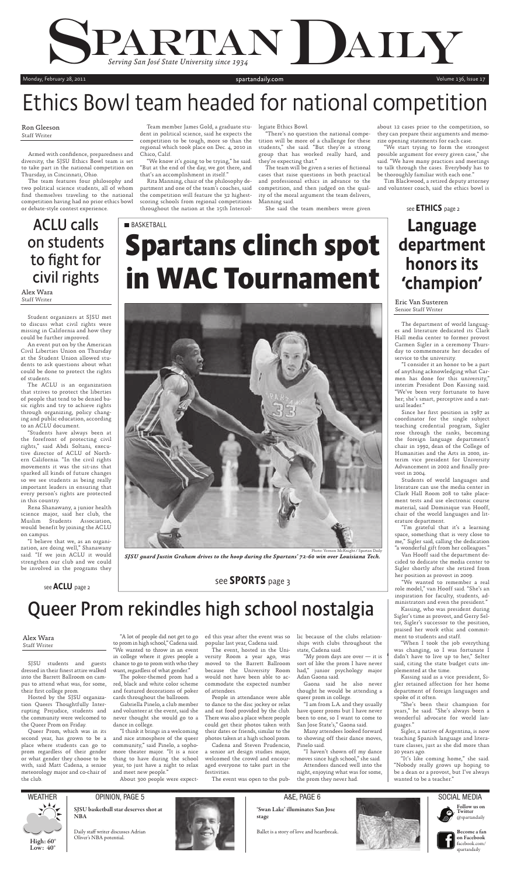Armed with confidence, preparedness and diversity, the SJSU Ethics Bowl team is set to take part in the national competition on Thursday, in Cincinnati, Ohio.

The team features four philosophy and two political science students, all of whom find themselves traveling to the national competition having had no prior ethics bowl or debate-style contest experience.

Team member James Gold, a graduate student in political science, said he expects the competition to be tough, more so than the regional which took place on Dec. 4, 2010 in Chico, Calif.

"We know it's going to be trying," he said. "But at the end of the day, we got there, and that's an accomplishment in itself."

The team will be given a series of fictional cases that raise questions in both practical and professional ethics in advance to the competition, and then judged on the quality of the moral argument the team delivers, Manning said.

Rita Manning, chair of the philosophy department and one of the team's coaches, said the competition will feature the 32 highestscoring schools from regional competitions throughout the nation at the 15th Intercol-

legiate Ethics Bowl.

"There's no question the national competition will be more of a challenge for these students," she said. "But they're a strong group that has worked really hard, and they're expecting that."

> Since her first position in 1987 as coordinator for the single subject teaching credential program, Sigler rose through the ranks, becoming the foreign language department's chair in 1992, dean of the College of Humanities and the Arts in 2000, interim vice president for University Advancement in 2002 and finally provost in 2004.

She said the team members were given

about 12 cases prior to the competition, so they can prepare their arguments and memorize opening statements for each case.

"We start trying to form the strongest possible argument for every given case," she said. "We have many practices and meetings to talk through the cases. Everybody has to be thoroughly familiar with each one."

Tim Blackwood, a retired deputy attorney and volunteer coach, said the ethics bowl is

## see **ETHICS** page 2

The department of world languages and literature dedicated its Clark Hall media center to former provost Carmen Sigler in a ceremony Thursday to commemorate her decades of service to the university.

"I consider it an honor to be a part of anything acknowledging what Carmen has done for this university," interim President Don Kassing said. "We've been very fortunate to have her; she's smart, perceptive and a natural leader."

# **Spartans clinch spot in WAC Tournament BASKETBALL**



SJSU students and guests dressed in their finest attire walked into the Barrett Ballroom on campus to attend what was, for some, their first college prom.

Students of world languages and literature can use the media center in Clark Hall Room 208 to take placement tests and use electronic course material, said Dominique van Hooff, chair of the world languages and literature department. "I'm grateful that it's a learning space, something that is very close to me," Sigler said, calling the dedication "a wonderful gift from her colleagues." Van Hooff said the department decided to dedicate the media center to Sigler shortly after she retired from her position as provost in 2009. "We wanted to remember a real role model," van Hooff said. "She's an inspiration for faculty, students, administrators and even the president." Kassing, who was president during Sigler's time as provost, and Gerry Selter, Sigler's successor to the position, praised her work ethic and commitment to students and staff. "When I took the job everything was changing, so I was fortunate I didn't have to live up to her," Selter said, citing the state budget cuts implemented at the time. Kassing said as a vice president, Sigler retained affection for her home department of foreign languages and spoke of it often. "She's been their champion for years," he said. "She's always been a wonderful advocate for world languages." Sigler, a native of Argentina, is now teaching Spanish language and literature classes, just as she did more than 20 years ago. "It's like coming home," she said. "Nobody really grows up hoping to be a dean or a provost, but I've always wanted to be a teacher."





**Low: 40°**

**Become a fan B on Facebook o** facebook.com/ f

**Follow us on F**

spartandaily s

"My prom days are over  $-$  it is sort of like the prom I have never had," junior psychology major Adan Gaona said.



A&E, PAGE 6

**SJSU basketball star deserves shot at NBA**



## Daily staff writer discusses Adrian Oliver's NBA potential.



**'Swan Lake' illuminates San Jose stage**

OPINION, PAGE 5

Ballet is a story of love and heartbreak.



Monday, February 28, 2011 Suite of the Suite of the Suite of the Suite of the Suite of the Suite of the Volume 136, Issue 17

Photo: Vernon McKnight / Spartan Daily

*SJSU guard Justin Graham drives to the hoop during the Spartans' 72-60 win over Louisiana Tech.*

# Ethics Bowl team headed for national competition

Eric Van Susteren Senior Staff Writer

## Language department honors its 'champion'

#### Ron Gleeson Staff Writer

## see SPORTS page 3

Student organizers at SJSU met to discuss what civil rights were missing in California and how they could be further improved.

An event put on by the American Civil Liberties Union on Thursday at the Student Union allowed students to ask questions about what could be done to protect the rights of students.

The ACLU is an organization that strives to protect the liberties of people that tend to be denied basic rights and try to achieve rights through organizing, policy changing and public education, according to an ACLU document.

"Students have always been at the forefront of protecting civil rights," said Abdi Soltani, executive director of ACLU of Northern California. "In the civil rights movements it was the sit-ins that sparked all kinds of future changes so we see students as being really important leaders in ensuring that every person's rights are protected in this country.

Rena Shanawany, a junior health

science major, said her club, the Muslim Students Association, would benefit by joining the ACLU on campus.

"I believe that we, as an organization, are doing well," Shanawany said. "If we join ACLU it would strengthen our club and we could be involved in the programs they

Alex Wara Staff Writer

## ACLU calls on students to fight for civil rights

# Queer Prom rekindles high school nostalgia

Hosted by the SJSU organization Queers Thoughtfully Interrupting Prejudice, students and the community were welcomed to the Queer Prom on Friday.

Queer Prom, which was in its second year, has grown to be a place where students can go to prom regardless of their gender or what gender they choose to be with, said Matt Cadena, a senior meteorology major and co-chair of the club.

"A lot of people did not get to go to prom in high school," Cadena said. "We wanted to throw in an event in college where it gives people a chance to go to prom with who they want, regardless of what gender."

The poker-themed prom had a red, black and white color scheme and featured decorations of poker cards throughout the ballroom.

Gabriella Pinelo, a club member and volunteer at the event, said she never thought she would go to a dance in college.

"I think it brings in a welcoming and nice atmosphere of the queer community," said Pinelo, a sophomore theater major. "It is a nice thing to have during the school year, to just have a night to relax and meet new people."

About 300 people were expect-

ed this year after the event was so popular last year, Cadena said.

The event, hosted in the University Room a year ago, was moved to the Barrett Ballroom because the University Room would not have been able to accommodate the expected number of attendees.

People in attendance were able to dance to the disc jockey or relax and eat food provided by the club. There was also a place where people could get their photos taken with their dates or friends, similar to the photos taken at a high school prom.

Cadena and Steven Prudencio, a senior art design studies major, welcomed the crowd and encouraged everyone to take part in the festivities.

The event was open to the pub-

lic because of the clubs relationships with clubs throughout the state, Cadena said.

Gaona said he also never thought he would be attending a queer prom in college.

"I am from L.A. and they usually have queer proms but I have never been to one, so I want to come to San Jose State's," Gaona said.

Many attendees looked forward to showing off their dance moves, Pinelo said.

"I haven't shown off my dance moves since high school," she said. Attendees danced well into the night, enjoying what was for some, the prom they never had.



#### Alex Wara Staff Writer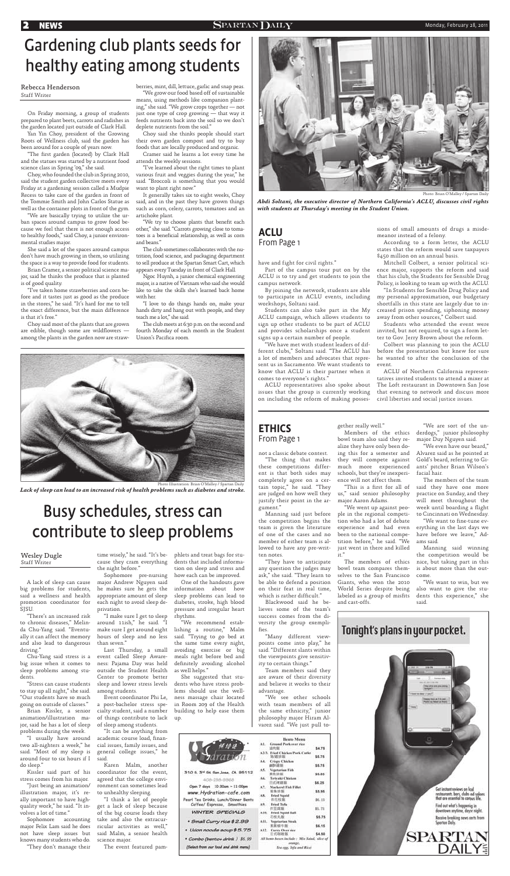not a classic debate contest. "The thing that makes these competitions different is that both sides may completely agree on a certain topic," he said. "They are judged on how well they justify their point in the argument."

"They have to anticipate any question the judges may ask," she said. "They learn to be able to defend a position on their feat in real time, which is rather difficult."

Blackwood said he believes some of the team's success comes from the diversity the group exemplifies.

Manning said just before the competition begins the team is given the literature of one of the cases and no member of either team is allowed to have any pre-written notes.

"We went up against p $\epsilon$ ple in the regional competi-

"Many different viewpoints come into play," he said. "Different slants within the viewpoints give sensitivity to certain things."

Team members said they are aware of their diversity and believe it works to their advantage.

"We see other schools with team members of all the same ethnicity," junior philosophy major Hiram Alvarez said. "We just pull to-

| 59 IF                                                               | <b>Bento Menu</b><br><b>Ground Park over rice</b><br>AL.<br>适丙胺: | \$4.78 |
|---------------------------------------------------------------------|------------------------------------------------------------------|--------|
|                                                                     | A2/3. Fried Chicken/Pork Cutlet<br>地質排断                          | \$5.75 |
|                                                                     | <b>Crisps Chicken</b><br>A4<br>46.51.18.95                       | \$5.75 |
| 310 5. 3 <sup>v</sup> 5t 5an Jose, CA. 95112                        | AS. Vegetarian Fish<br>紫色斑蝥                                      | \$5.85 |
| 408-298-9968                                                        | Teriyaki Chicken<br>A6.<br>日式烤雞類                                 | \$6.25 |
| Open 7 days 10:30am ~ 11:00pm                                       | Macherel Fish Fillet<br>AT.<br>疑角顶版                              | \$5.95 |
| www.Hydration-cafe.com                                              | <b>Fried Squid</b><br>AK.                                        |        |
| Pearl Tea Drinks, Lunch/Dinner Bento<br>Coffee/ Espresso, Smoothies | 炸花枝葱<br><b>Fried Tobs</b><br>友気 こ                                | \$6.19 |
| <b>WINTER SPECIALS</b>                                              | 作豆腐脂<br>Fried Squid Ball.<br>外生机:                                | 丝饰     |
| * Small Curry rice \$ 2.99                                          | 花枝丸飯<br>All. Vegetarian Steak                                    | \$5.75 |
| * Udon noodle soup \$5.75                                           | 素属相牛販<br>A12. Carry Over rice                                    | \$6.15 |
|                                                                     | 日式取理版                                                            | \$4.50 |
| * Combo (bento+ drink ) \$6.99                                      | All hente bayes include : Mix Salad, slice of                    |        |

Tes egg, Tofa and Rice)

gether really well."

"We want to fine-tune evhave before we leave," Adams said.

Members of the ethics bowl team also said they realize they have only been dothey will compete against much more experienced schools, but they're inexperience will not affect them.

"This is a fi rst for all of us," said senior philosophy major Aaron Adams.

"The first garden (located) by Clark Hall and the statues was started by a nutrient food science class in Spring '09," she said.

> tion who had a lot of debate experience and had even erything in the last days we been to the national competition before," he said. "We just went in there and killed it."

> ing this for a semester and Alvarez said as he pointed at "We even have our beard," Gold's beard, referring to Giants' pitcher Brian Wilson's facial hair.

bowl team compares themselves to the San Francisco Giants, who won the 2010 World Series despite being labeled as a group of misfits and cast-offs.

"We are sort of the underdogs," junior philosophy major Duy Nguyen said.

The members of ethics nice, but taking part in this Manning said winning the competition would be is about more than the outcome.

The members of the team said they have one more practice on Sunday, and they will meet throughout the week until boarding a flight to Cincinnati on Wednesday.

"We want to win, but we also want to give the students this experience," she said.



"We try to choose plants that benefit each other," she said. "Carrots growing close to tomatoes is a beneficial relationship, as well as corn and beans."

On Friday morning, a group of students prepared to plant beets, carrots and radishes in the garden located just outside of Clark Hall.

Yan Yin Choy, president of the Growing Roots of Wellness club, said the garden has been around for a couple of years now.

> The club meets at 6:30 p.m. on the second and fourth Monday of each month in the Student Union's Pacifica room.

Choy, who founded the club in Spring 2010, said the student garden collective meets every Friday at a gardening session called a Mudpie Recess to take care of the garden in front of the Tommie Smith and John Carlos Statue as well as the container plots in front of the gym.

"We are basically trying to utilize the urban spaces around campus to grow food because we feel that there is not enough access to healthy foods," said Choy, a junior environmental studies major.

She said a lot of the spaces around campus don't have much growing in them, so utilizing the space is a way to provide food for students.

Brian Cramer, a senior political science major, said he thinks the produce that is planted is of good quality.

"I've taken home strawberries and corn before and it tastes just as good as the produce in the stores," he said. "It's hard for me to tell the exact difference, but the main difference is that it's free."

Choy said most of the plants that are grown are edible, though some are wildflowers  $$ among the plants in the garden now are strawberries, mint, dill, lettuce, garlic and snap peas.

"We grow our food based off of sustainable means, using methods like companion planting," she said. "We grow crops together — not just one type of crop growing — that way it feeds nutrients back into the soil so we don't deplete nutrients from the soil."

Choy said she thinks people should start their own garden compost and try to buy foods that are locally produced and organic.

Cramer said he learns a lot every time he attends the weekly sessions.

"I've learned about the right times to plant various fruit and veggies during the year," he said. "Broccoli is something that you would want to plant right now."

It generally takes six to eight weeks, Choy said, and in the past they have grown things such as corn, celery, carrots, tomatoes and an artichoke plant.

The club sometimes collaborates with the nutrition, food science, and packaging department to sell produce at the Spartan Smart Cart, which appears every Tuesday in front of Clark Hall.

Ngoc Huynh, a junior chemical engineering major, is a native of Vietnam who said she would like to take the skills she's learned back home with her.

"I love to do things hands on, make your hands dirty and hang out with people, and they teach me a lot," she said.

## **2 NEWS** Monday, February 28, 2011

## Gardening club plants seeds for healthy eating among students

#### Rebecca Henderson Staff Writer

## ETHICS From Page 1



Photo: Brian O'Malley / Spartan Daily

*Abdi Soltani, the executive director of Northern California's ACLU, discusses civil rights with students at Thursday's meeting in the Student Union.*

have and fight for civil rights."

Part of the campus tour put on by the ACLU is to try and get students to join the campus network.

By joining the network, students are able to participate in ACLU events, including workshops, Soltani said.

Students can also take part in the My ACLU campaign, which allows students to sign up other students to be part of ACLU and provides scholarships once a student signs up a certain number of people.

"We have met with student leaders of different clubs," Soltani said. "The ACLU has a lot of members and advocates that represent us in Sacramento. We want students to know that ACLU is their partner when it comes to everyone's rights."

ACLU representatives also spoke about issues that the group is currently working on including the reform of making possessions of small amounts of drugs a misde-

meanor instead of a felony.

According to a form letter, the ACLU states that the reform would save taxpayers

\$450 million on an annual basis.

Mitchell Colbert, a senior political science major, supports the reform and said that his club, the Students for Sensible Drug Policy, is looking to team up with the ACLU. "In Students for Sensible Drug Policy and my personal approximation, our budgetary shortfalls in this state are largely due to increased prison spending, siphoning money away from other sources," Colbert said.

Students who attended the event were invited, but not required, to sign a form letter to Gov. Jerry Brown about the reform. Colbert was planning to join the ACLU before the presentation but knew for sure he wanted to after the conclusion of the

event.

ACLU of Northern California representatives invited students to attend a mixer at The Loft restaurant in Downtown San Jose that evening to network and discuss more civil liberties and social justice issues.

## ACLU From Page 1

A lack of sleep can cause big problems for students, said a wellness and health promotion coordinator for SJSU.

"There's an increased risk to chronic diseases," Melinda Chu-Yang said. "Eventually it can affect the memory and also lead to dangerous driving."

Chu-Yang said stress is a big issue when it comes to sleep problems among students.

"Stress can cause students to stay up all night," she said. "Our students have so much going on outside of classes."

Brian Kissler, a senior animation/illustration major, said he has a lot of sleep problems during the week.

"I usually have around two all-nighters a week," he said. "Most of my sleep is around four to six hours if I said. do sleep."

stress comes from his major.

"Just being an animation/ illustration major, it's really important to have highquality work," he said. "It involves a lot of time."

Sophomore accounting major Felix Lam said he does not have sleep issues but knows many students who do.

"They don't manage their

time wisely," he said. "It's because they cram everything the night before."

Sophomore pre-nursing major Andrew Nguyen said he makes sure he gets the appropriate amount of sleep each night to avoid sleep deprivation.

"I make sure I get to sleep around 11ish," he said. "I make sure I get around eight hours of sleep and no less than seven."

Kissler said part of his coordinator for the event, Karen Malm, another agreed that the college environment can sometimes lead to unhealthy sleeping.

Last Thursday, a small event called Sleep Awareness: Pajama Day was held outside the Student Health Center to promote better sleep and lower stress levels among students.

Event coordinator Phi Le, a post-bachelor stress specialty student, said a number of things contribute to lack of sleep among students.

"It can be anything from academic course load, financial issues, family issues, and general college issues," he

"I think a lot of people get a lack of sleep because of the big course loads they take and also the extracurricular activities as well," said Malm, a senior health science major.

The event featured pam-

phlets and treat bags for students that included information on sleep and stress and how each can be improved.

One of the handouts gave information about how sleep problems can lead to diabetes, stroke, high blood pressure and irregular heart rhythms.

"We recommend establishing a routine," Malm said. "Trying to go bed at the same time every night, avoiding exercise or big meals right before bed and definitely avoiding alcohol as well helps."

She suggested that students who have stress problems should use the wellness massage chair located in Room 209 of the Health building to help ease them up.

(Select from our food and driok menu)

## Busy schedules, stress can contribute to sleep problems

#### Wesley Dugle Staff Writer



Photo Illustration: Brian O'Malley / Spartan Daily

*Lack of sleep can lead to an increased risk of health problems such as diabetes and stroke.*

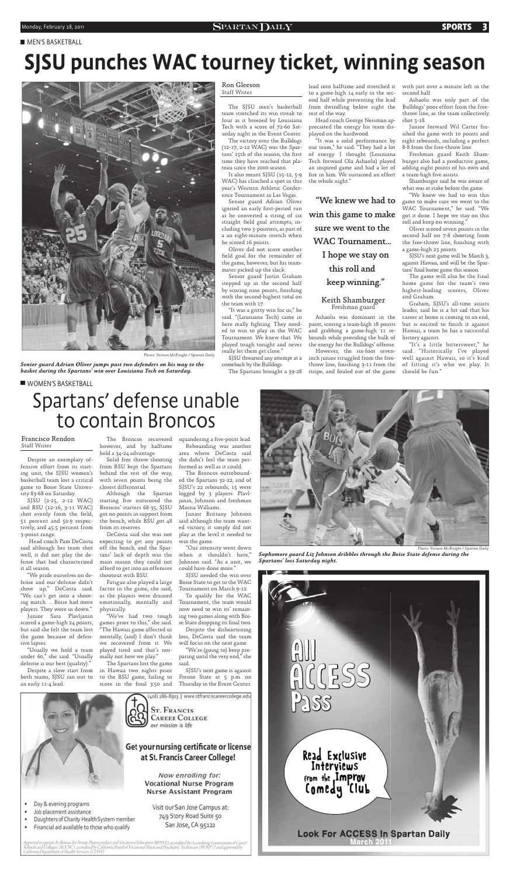#### **MEN'S BASKETBALL**

Photo: Vernon McKnight / Spartan Daily

*Senior guard Adrian Oliver jumps past two defenders on his way to the basket during the Spartans' win over Louisiana Tech on Saturday.*

# SJSU punches WAC tourney ticket, winning season



team stretched its win streak to four as it breezed by Louisiana Tech with a score of 72-60 Saturday night in the Event Center.

The victory over the Bulldogs (12-17, 2-12 WAC) was the Spartans' 15th of the season, the first time they have reached that plateau since the 2000 season.

It also meant SJSU (15-12, 5-9 WAC) has clinched a spot in this year's Western Athletic Conference Tournament in Las Vegas.

Senior guard Adrian Oliver ignited an early first-period run as he converted a string of six straight field goal attempts, including two 3-pointers, as part of a an eight-minute stretch when he scored 16 points.

The SJSU men's basketball from dwindling below eight the lead into halftime and stretched it to a game-high 14 early in the second half while preventing the lead rest of the way.

Oliver did not score another field goal for the remainder of the game, however, but his teammates picked up the slack.

Senior guard Justin Graham stepped up in the second half by scoring nine points, finishing with the second-highest total on the team with 17.

Junior forward Wil Carter finished the game with 10 points and eight rebounds, including a perfect 8-8 from the free-throw line.

Freshman guard Keith Shamburger also had a productive game, adding eight points of his own and a team-high five assists.

"It was a gritty win for us," he said. "(Louisiana Tech) came in here really fighting. They needed to win to play in the WAC Tournament. We knew that. We played tough tonight and never really let them get close."

SJSU thwarted any attempt at a comeback by the Bulldogs.

SJSU's next game will be March 3, against Hawaii, and will be the Spartans' final home game this season.

The Spartans brought a 39-28

Head coach George Nessman appreciated the energy his team displayed on the hardwood.

"It was a solid performance by our team," he said. "They had a lot of energy. I thought (Louisiana Tech forward Ola Ashaolu) played an inspired game and had a lot of fire in him. We sustained an effort the whole night."

*Sophomore guard Liz Johnson dribbles through the Boise State defense during the Spartans' loss Saturday night.*



Ashaolu was dominant in the paint, scoring a team-high 18 points and grabbing a game-high 11 rebounds while providing the bulk of the energy for the Bulldogs' offense.

However, the six-foot seveninch junior struggled from the freethrow line, finishing 3-11 from the stripe, and fouled out of the game

with just over a minute left in the second half.

The Broncos recovered squandering a five-point lead. however, and by halftime held a 34-24 advantage.

Ashaolu was only part of the Bulldogs' poor effort from the freethrow line, as the team collectively shot 5-18.

Shamburger said he was aware of what was at stake before the game.

The Spartans lost the game in Hawaii two nights prior to the BSU game, failing to score in the final 3:50 and

"We knew we had to win this game to make sure we went to the WAC Tournament," he said. "We got it done. I hope we stay on this roll and keep on winning."

Oliver scored seven points in the second half on 7-8 shooting from the free-throw line, finishing with a game-high 23 points.

To qualify for the WAC Tournament, the team would now need to win its' remaining two games along with Boise State dropping its final two.

The game will also be the final home game for the team's two highest-leading scorers, Oliver and Graham.

Graham, SJSU's all-time assists leader, said he is a bit sad that his career at home is coming to an end, but is excited to finish it against Hawaii, a team he has a successful history against.

"It's a little bittersweet," he said. "Historically I've played well against Hawaii, so it's kind of fitting it's who we play. It should be fun."

## WOMEN'S BASKETBALL

## Ron Gleeson Staff Writer

# Spartans' defense unable to contain Broncos

Photo: Vernon McKnight / Spartan Daily

Despite an exemplary offensive effort from its starting unit, the SJSU women's basketball team lost a critical game to Boise State University 83-68 on Saturday.

SJSU (2-25, 2-12 WAC) shot evenly from the field, 51 percent and 50.9 respectively, and 45.5 percent from 3-point range.

 Head coach Pam DeCosta said although her team shot well, it did not play the defense that had characterized it all season.

"We pride ourselves on defense and our defense didn't show up," DeCosta said. "We can't get into a shooting match. ... Boise had more players. They wore us down."

Junior Sara Plavljanin scored a game-high 24 points, but said she felt the team lost the game because of defensive lapses.

and BSU (12-16, 3-11 WAC) Broncos' starters 68-35, SJSU Marisa Williams. starting five outscored the janin, Johnson-and-freshman got no points in support from the bench, while BSU got 48 from its reserves.

"Usually we hold a team under 60," she said. "Usually defense is our best (quality)."

Despite a slow start from both teams, SJSU ran out to an early 11-4 lead.

Solid free throw shooting from BSU kept the Spartans behind the rest of the way, with seven points being the ed the Spartans 32-22, and of closest differential.

DeCosta said she was not expecting to get any points off the bench, and the Spartans' lack of depth was the main reason they could not afford to get into an offensive shootout with BSU.

Fatigue also played a large factor in the game, she said, as the players were drained emotionally, mentally and physically.

Although the Spartan logged by 3 players: Plavl-The Broncos outrebound-SJSU's 22 rebounds, 15 were



"We've had two tough games prior to this," she said. "The Hawaii game affected us mentally, (and) I don't think we recovered from it. We played tired and that's normally not how we play."

Rebounding was another area where DeCosta said she didn't feel the team performed as well as it could.

Junior Brittany Johnson said although the team wanted victory, it simply did not play at the level it needed to win the game.

"Our intensity went down when it shouldn't have," Johnson said. "As a unit, we could have done more."

SJSU needed the win over Boise State to get to the WAC Tournament on March 9-12.

Despite the disheartening loss, DeCosta said the team will focus on the next game.

"We're (going to) keep preparing until the very end," she said.

SJSU's next game is against Fresno State at 5 p.m. on Thursday in the Event Center.

408) 286-8903 | www.stfranciscareercollege.edu **ST. FRANCIS CAREER COLLEGE** 

our mission is life

Get your nursing certificate or license at St. Francis Career College!

> Now enrolling for: **Vocational Nurse Program** Nurse Assistant Program

Visit our San Jose Campus at:

749 Story Road Suite 50

San Jose, CA 95122

- Day & evening programs
- Job placement assistance
- Daughters of Charity Health System member
- Financial aid available to those who qualify

proval to apeare by Buraw for Private Postsecondary and Vocational Education (BPPVE), wearedred by According Communion of Career<br>book and Colleges (ACCSC), accordined by Cablomia Board of Vocational Nurse and Psychiatric T

#### Francisco Rendon Staff Writer

"We knew we had to win this game to make sure we went to the WAC Tournament... I hope we stay on this roll and keep winning."

## Keith Shamburger Freshman guard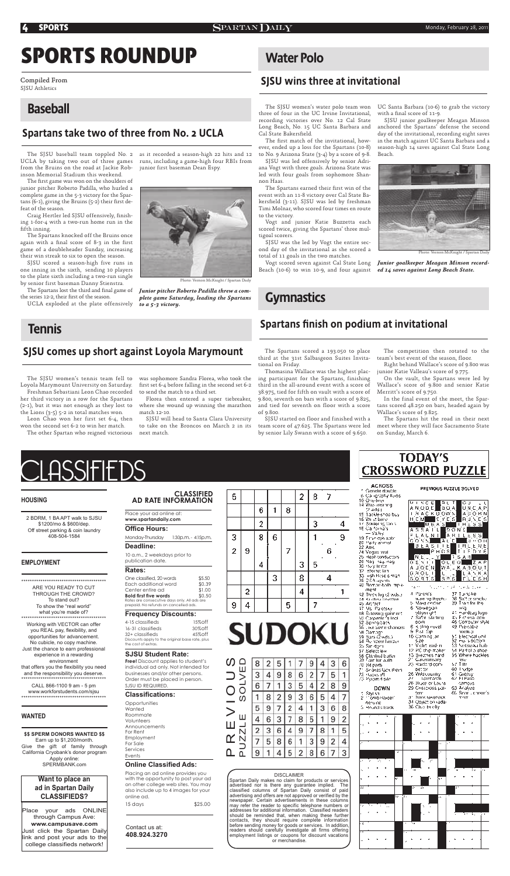

**CROSSWORD PUZZLE ACROSS** PREVIOUS PUZZLE SOLVED Genetic double

6. Calligraphy fluids 10 Opeliner 14 Was iveaning

|  | <b>MIRCE BIT DO</b><br><b>PISCE BUT DU LU</b><br>ANODE BOA UNCAP |  |  |  |  |  |  |
|--|------------------------------------------------------------------|--|--|--|--|--|--|
|  |                                                                  |  |  |  |  |  |  |

**CLASSIFIED**  5 **AD RATE INFORMATION** 

Place your ad online at: **www.spartandaily.com**

#### **Office Hours:**

Monday-Thursday 1:30p.m. - 4:15p.m.

## **Deadline:**

10 a.m., 2 weekdays prior to publication date.

## **Rates:**

| One classified, 20 words                     | \$5.50 |
|----------------------------------------------|--------|
| Each additional word                         | \$0.39 |
| Center entire ad                             | \$1.00 |
| <b>Bold first five words</b>                 | \$0.50 |
| Rates are consecutive days only. All ads are |        |
| prepaid. No refunds on cancelled ads.        |        |
|                                              |        |

**Opportunities Wanted** Roommate Volunteers Announcements For Rent Employment For Sale Services Events

#### **Frequency Discounts:**

4-15 classifieds 15%off 16-31 classifieds 30%off 32+ classifieds 45%off Discounts apply to the original base rate, plus the cost of extras.

### **SJSU Student Rate:**

**Free!** Discount applies to student's individual ad only. Not intended for businesses and/or other persons. Order must be placed in person. SJSU ID REQUIRED.

## **Classifications:**

### **Online Classified Ads:**

Placing an ad online provides you with the opportunity to post your ad on other college web sites. You may also include up to 4 images for your online ad.

15 days \$25.00

Contact us at: **408.924.3270**

|               |   | O | ı | ö |   |   |        |   |
|---------------|---|---|---|---|---|---|--------|---|
|               |   | 2 |   |   |   | з |        |   |
|               |   | 8 | 6 |   |   |   |        | 9 |
| $\frac{3}{2}$ | 9 |   |   | 7 |   |   | ٠<br>6 |   |
|               |   | 4 |   |   | 3 | 5 | ٠      |   |
|               |   |   | 3 |   | 8 |   |        |   |
|               | 2 |   |   |   | 4 |   |        |   |
| 9             | 4 |   |   | 5 |   |   |        |   |

| <b>SUDOKU</b> |  |  |
|---------------|--|--|

P R E V I O U S

Ω

2 87

| Ш                       | $\overline{2}$ | 5 |   |                | 9                |   | 3              | 6 |
|-------------------------|----------------|---|---|----------------|------------------|---|----------------|---|
|                         |                |   |   | $\overline{6}$ |                  |   | 5              |   |
|                         |                |   |   |                |                  |   | 8              | 9 |
| ၯ                       | 8              |   |   | 3              | 6                | 5 |                |   |
|                         | 9              |   |   |                |                  | 3 | 6              | 8 |
| ш                       | 6              |   |   | 8              |                  |   |                |   |
| $\overline{\mathsf{N}}$ | 3              | 6 |   | 9              | $\boldsymbol{7}$ | 8 |                | 5 |
|                         |                | 8 | 6 | $\mathbf{1}$   | 3                | 9 | $\overline{2}$ | 4 |
|                         |                |   | 5 | $\overline{2}$ | 8                | 6 |                | 3 |

#### DISCLAIMER

Spartan Daily makes no claim for products or services advertised nor is there any guarantee implied. The classified columns of Spartan Daily consist of paid advertising and offers are not approved or verified by the newspaper. Certain advertisements in these columns may refer the reader to specific telephone numbers or addresses for additional information. Classified readers should be reminded that, when making these further contacts, they should require complete information before sending money for goods or services. In addition, readers should carefully investigate all firms offering employment listings or coupons for discount vacations or merchandise.

| :2 vq≷ l               |                                                                           | والمناسبات والمراد                                                               |
|------------------------|---------------------------------------------------------------------------|----------------------------------------------------------------------------------|
| 15 Tackle-shop buy     | <b>LAACKUOWS</b>                                                          | $A$ ( ) $O$ $B$ $N$                                                              |
| 16 Wrist bone          | ∎ēy <u>ds</u><br>н см                                                     | Ru∖cs                                                                            |
| 17. Soldering ton s    | M6A3                                                                      | I.H.E. S. S.                                                                     |
| 16 Ca foingís          | A S S A I                                                                 |                                                                                  |
| — Valey                | L                                                                         | <b>DONE</b>                                                                      |
| 19.5me opa auto        | $L_A L_N +$                                                               | $\left[ \begin{smallmatrix} A & B & I & L & E & S & S \end{smallmatrix} \right]$ |
| 20 Party animal        | [A L C]<br>COSN                                                           | Ы<br>O H                                                                         |
| 22 Aliic               | $\mathbf{B} \to \mathbf{A} \otimes \mathbf{I}$ , $\mathbf{E}[\mathbf{E}]$ | 非肝上上湿白                                                                           |
| 24 Vegas hvat          | PHES                                                                      | Iτ<br>D Y E<br>F<br>L                                                            |
| 25 Heat-conductors     | Υ.                                                                        | $1.8$ A.H.                                                                       |
|                        | Nit, L                                                                    |                                                                                  |
| 26 Nagi nay, nag       | GENTIN.<br>Auodin                                                         | စ်ရဲ<br>IZAP                                                                     |
| 30 Holy terrior        | WA.                                                                       | <u>LKABOUT</u>                                                                   |
| 32. steinet lan        | 6 8 O U TH<br>L                                                           | LANKA                                                                            |
| 33. lish Rose's man    | SORTS<br>3                                                                | LESH<br>5                                                                        |
| 08. DEA agents         |                                                                           |                                                                                  |
| 40 Bomar-balb mp.a.    | $\cdot$ $\overline{ }$ $\cdots$<br>$\ldots$ .                             | , .<br>tie Andioe                                                                |
| ment                   |                                                                           |                                                                                  |
| 42. Three log (2 wds.) | 4. Parentis                                                               | 37 Turnpke                                                                       |
| 44. Kushna bovoten     | wain ng Ingpha                                                            | 38. Saft er smoke                                                                |
| 45 Anfact              | b. Mako certain                                                           | 39 Tran for the                                                                  |
| 47 Ms Paretsky         | 6 Yorkegan                                                                | шŊ                                                                               |
| 48. Selovang gariniert | playwr gift                                                               | at Handbag logo.                                                                 |
| 50 Carpenter's Incl.   | 7. Safar slading                                                          | 45 Fictional cow                                                                 |
| 52. Spring back        | <b>DOO</b>                                                                | 46 Computer siyle                                                                |
| 56 there some changes  | 6. Kipling nuvel                                                          | s9 Pre-wibe                                                                      |
| 58 Gamage              | 9 Pal Sp                                                                  | moeku p                                                                          |
| 59 Bars (2 wds.)       | 10 Canning jar                                                            | 55. Electrical unit                                                              |
| 64. Reindear harder    | sze                                                                       | 52 mui sipettomi                                                                 |
| ûb Sir dgen            | 11 Melet ead-m                                                            | 53 Netran4a hab                                                                  |
| 67 Selectilew          | 12-PI) ship maker                                                         | 54. Partiol a shoel                                                              |
| 68 Clanhed buiter      | 13 Biegthes hard                                                          | 55 Where hackles                                                                 |
| dê Fair har aulh       | 21 Galavansary                                                            | <b>TSC</b>                                                                       |
| 70-84 parts            | 23. Bardord opny                                                          | 57 Tito                                                                          |
| 71. Seákes lack (hem   | det tor                                                                   | egtur 1.08                                                                       |
| 78. Habka off          | 26 Υγκλιτουπίης                                                           | š‡ Gieavy.                                                                       |
| 73. Pytam digile.      | 27 - Spirnado                                                             | 62 FLPaso                                                                        |
|                        | 26 Brude or Laura                                                         | campus                                                                           |
| DOWN                   | 29 Crisseioss pal-                                                        | 63 Aralyze                                                                       |
| Siyi sa                | der n                                                                     | 60 Searth concerts                                                               |
| 2 : Tomb Paider"       | 31. Bank lakeback                                                         | ተሳπ                                                                              |
| ne-une                 | 34 Objection (ada)                                                        |                                                                                  |
| Si Hound silvack.      | 36 Cluar briefly                                                          |                                                                                  |
|                        |                                                                           |                                                                                  |
|                        |                                                                           |                                                                                  |



Place your ads ONLINE through Campus Ave: **www.campusave.com** Just click the Spartan Daily link and post your ads to the college classifieds network!

**Want to place an ad in Spartan Daily CLASSIFIEDS?**

### **WANTED**

#### **\$\$ SPERM DONORS WANTED \$\$**

Earn up to \$1,200/month. Give the gift of family through California Cryobank's donor program Apply online: SPERMBANK.com

The first game was won on the shoulders of junior pitcher Roberto Padilla, who hurled a complete game in the 5-3 victory for the Spartans (6-1), giving the Bruins (5-2) their first defeat of the season.

Craig Hertler led SJSU offensively, finishing 1-for-4 with a two-run home run in the fifth inning.

2 BDRM, 1 BA APT walk to SJSU \$1200/mo & \$600/dep. Off street parking & coin laundry 408-504-1584

\*\*\*\*\*\*\*\*\*\*\*\*\*\*\*\*\*\*\*\*\*\*\*\*\*\*\*\*\*\*\*\*\*\*\*\*\*\*\*\*

ARE YOU READY TO CUT THROUGH THE CROWD? To stand out? To show the "real world" what you're made of? \*\*\*\*\*\*\*\*\*\*\*\*\*\*\*\*\*\*\*\*\*\*\*\*\*\*\*\*\*\*\*\*\*\*\*\*\*\*\*\*

Working with VECTOR can offer you REAL pay, flexibility, and opportunities for advancement. No cubicle, no copy machine. Just the chance to earn professional experience in a rewarding environment that offers you the flexibility you need and the responsibility you deserve. \*\*\*\*\*\*\*\*\*\*\*\*\*\*\*\*\*\*\*\*\*\*\*\*\*\*\*\*\*\*\*\*\*\*\*\*\*\*\*\*

CALL 866-1100 9 am - 5 pm www.workforstudents.com/sjsu \*\*\*\*\*\*\*\*\*\*\*\*\*\*\*\*\*\*\*\*\*\*\*\*\*\*\*\*\*\*\*\*\*\*\*\*\*\*\*\*

#### **EMPLOYMENT**

# **SPORTS ROUNDUP**

The SJSU women's water polo team won three of four in the UC Irvine Invitational, recording victories over No. 12 Cal State Long Beach, No. 15 UC Santa Barbara and Cal State Bakersfield.

The Spartans scored a 193.050 to place third at the 31st Salbasgeon Suites Invitational on Friday.

The first match of the invitational, however, ended up a loss for the Spartans (10-8) to No. 9 Arizona State (3-4) by a score of 9-8.

Thomasina Wallace was the highest placing participant for the Spartans, finishing third in the all-around event with a score of 38.975, tied for fifth on vault with a score of 9.800, seventh on bars with a score of 9.825, and tied for seventh on floor with a score of 9.800.

The Spartans earned their first win of the event with an 11-8 victory over Cal State Bakersfield (3-11). SJSU was led by freshman Timi Molnar, who scored four times en route to the victory.

SJSU started on floor and finished with a team score of 47.625. The Spartans were led by senior Lily Swann with a score of 9.650.

UC Santa Barbara (10-6) to grab the victory with a final score of 11-9.

The competition then rotated to the team's best event of the season, floor.

Right behind Wallace's score of 9.800 was junior Katie Valleau's score of 9.775.

On the vault, the Spartans were led by Wallace's score of 9.800 and senior Katie Merritt's score of 9.750.

In the final event of the meet, the Spartans scored 48.250 on bars, headed again by Wallace's score of 9.825.

The Spartans hit the road in their next meet where they will face Sacramento State on Sunday, March 6.

**TODAY'S** 

UCLA by taking two out of three games runs, including a game-high four RBIs from from the Bruins on the road at Jackie Robinson Memorial Stadium this weekend.

The SJSU baseball team toppled No. 2 as it recorded a season-high 22 hits and 12 junior first baseman Dean Espy.

The Spartans knocked off the Bruins once again with a final score of  $8-3$  in the first game of a doubleheader Sunday, increasing their win streak to six to open the season.

SJSU scored a season-high five runs in one inning in the sixth, sending 10 players to the plate sixth including a two-run single by senior first baseman Danny Stienstra.

The Spartans lost the third and final game of the series 12-2, their first of the season.

UCLA exploded at the plate offensively

## Baseball

Compiled From SJSU Athletics

## Spartans take two of three from No. 2 UCLA



Photo: Vernon McKnight / Spartan Daily

*Junior pitcher Roberto Padilla threw a complete game Saturday, leading the Spartans to a 5-3 victory.*

## **Tennis**

## SJSU comes up short against Loyola Marymount

The SJSU women's tennis team fell to Loyola Marymount University on Saturday. Freshman Sebastiani Leon Chao recorded

her third victory in a row for the Spartans (2-1), but it was not enough as they lost to the Lions (3-5) 5-2 in total matches won.

Leon Chao won her first set 6-4, then won the second set 6-2 to win her match.

was sophomore Sandra Florea, who took the first set 6-4 before falling in the second set 6-2 to send the match to a third set.

The other Spartan who reigned victorious next match. SJSU will head to Santa Clara University to take on the Broncos on March 2 in its

Florea then entered a super tiebreaker, where she wound up winning the marathon match 12-10.

## Water Polo

## SJSU wins three at invitational

SJSU was led offensively by senior Adriana Vogt with three goals. Arizona State was led with four goals from sophomore Shannon Haas.

Vogt and junior Katie Buzzetta each scored twice, giving the Spartans' three multigoal scorers.

SJSU was the led by Vogt the entire second day of the invitational as she scored a total of 11 goals in the two matches.

Beach (10-6) to win 10-9, and four against *ed 14 saves against Long Beach State.*

## **Gymnastics**

SJSU junior goalkeeper Meagan Minson anchored the Spartans' defense the second day of the invitational, recording eight saves in the match against UC Santa Barbara and a season-high 14 saves against Cal State Long Beach.



Vogt scored seven against Cal State Long *Junior goalkeeper Meagan Minson record-*

## Spartans finish on podium at invitational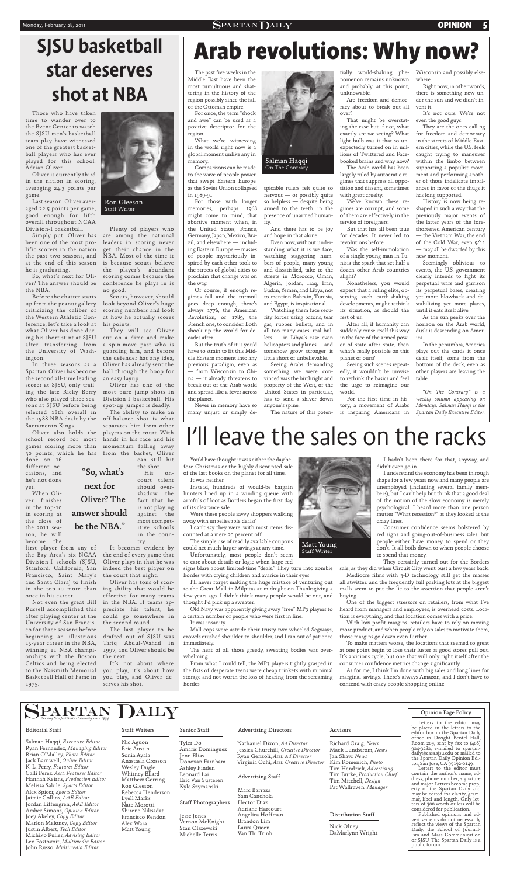## Monday, February 28, 2011 **1988** SPARTAN DAILY **CPINION 5**

Those who have taken time to wander over to the Event Center to watch the SJSU men's basketball team play have witnessed one of the greatest basketball players who has ever played for this school: Adrian Oliver.

Oliver is currently third in the nation in scoring, averaging 24.3 points per game.

Last season, Oliver averaged 22.5 points per game, good enough for fifth overall throughout NCAA Division-I basketball.

been one of the most prolific scorers in the nation he is graduating.

So, what's next for Olithe NBA.

Before the chatter starts up from the peanut gallery criticizing the caliber of the Western Athletic Conference, let's take a look at his points. what Oliver has done during his short stint at SJSU after transferring from the University of Washington.

In three seasons as a Spartan, Oliver has become the second all-time leading scorer at SJSU, only trailing the late Ricky Berry who also played three seasons at SJSU before being selected 18th overall in Sacramento Kings.

Oliver also holds the school record for most games scoring more than done on 16

different occasions, and he's not done yet.

Simply put, Oliver has are among the national the past two seasons, and NBA. Most of the time it at the end of this season is because scouts believe ver? The answer should be conference he plays in is Plenty of players who leaders in scoring never get their chance in the the player's abundant scoring comes because the no good.

When Oliver finishes in the top-10

in scoring at the close of the 2011 season, he will become the

first player from any of the Bay Area's six NCAA Division-I schools (SJSU, Stanford, California, San Francisco, Saint Mary's and Santa Clara) to finish once in his career.

Not even the great Bill Russell accomplished this after playing center at the University of San Francisco for three seasons before beginning an illustrious 15-year career in the NBA, winning 11 NBA championships with the Boston the next. Celtics and being elected to the Naismith Memorial Basketball Hall of Fame in 1975.

the 1988 NBA draft by the off-balance shot is what 30 points, which he has from the basket, Oliver The ability to make an separates him from other players on the court. With hands in his face and his momentum falling away can still hit

> Old Navy was apparently giving away "free" MP3 players to a certain number of people who were first in line.

Scouts, however, should look beyond Oliver's huge scoring numbers and look at how he actually scores

They will see Oliver cut on a dime and make a spin-move past who is guarding him, and before the defender has any idea, Oliver has already sent the ball through the hoop for an easy layup.

in the top-10 more than ing ability that would be Oliver has tons of scoreffective for many teams in the NBA. If teams appreciate his talent, he could go somewhere in the second round.

Oliver has one of the most pure jump shots in Division-I basketball. His spot-up jumper is deadly.

> Consumer confidence seems bolstered by red signs and going-out-of-business sales, but people either have money to spend or they don't. It all boils down to when people choose to spend that money.

the shot.

His oncourt talent should overshadow the fact that he is not playing

> Mediocre films with 3-D technology still get the masses all atwitter, and the frequently full parking lots at the biggest malls seem to put the lie to the assertion that people aren't buying.

most competitive schools in the country.

It becomes evident by the end of every game that Oliver plays in that he was indeed the best player on the court that night.

> With low profit margins, retailers have to rely on moving more product, and when people rely on sales to motivate them, those margins go down even further.

> To make matters worse, the locations that seemed so great at one point begin to lose their luster as good stores pull out. It's a vicious cycle, but one that will only right itself after the consumer confidence metrics change significantly.

The last player to be drafted out of SJSU was Tariq Abdul-Wahad in 1997, and Oliver should be

The past five weeks in the Middle East have been the most tumultuous and shattering in the history of the region possibly since the fall of the Ottoman empire.

It's not about where you play, it's about how you play, and Oliver deserves his shot.

You'd have thought it was either the day before Christmas or the highly discounted sale of the last books on the planet for all time. It was neither.

Instead, hundreds of would-be bargain hunters lined up in a winding queue with armfuls of loot as Borders began the first day of its clearance sale.

Were these people savvy shoppers walking away with unbelievable deals?

I can't say they were, with most items discounted at a mere 20 percent off.

The simple use of readily available coupons could net much larger savings at any time.

Unfortunately, most people don't seem to care about details or logic when large red

signs blare about limited-time "deals." They turn into zombie hordes with crying children and avarice in their eyes.

I'll never forget making the huge mistake of venturing out to the Great Mall in Milpitas at midnight on Thanksgiving a few years ago. I didn't think many people would be out, and thought I'd pick up a sweater.

It was insanity.

Mall cops were astride their trusty two-wheeled Segways, crowds crushed shoulder-to-shoulder, and I ran out of patience immediately.

The heat of all those greedy, sweating bodies was overwhelming.

From what I could tell, the MP3 players tightly grasped in the fists of desperate teens were cheap trinkets with minimal storage and not worth the loss of hearing from the screaming hordes.

I hadn't been there for that, anyway, and didn't even go in.

For the first time in history, a movement of Arabs is inspiring Americans in

> I understand the economy has been in rough shape for a few years now and many people are unemployed (including several family members), but I can't help but think that a good deal of the notion of the slow economy is merely psychological. I heard more than one person

mutter "What recession?" as they looked at the crazy lines.

They certainly turned out for the Borders sale, as they did when Circuit City went bust a few years back.

One of the biggest stressors on retailers, from what I've heard from managers and employees, is overhead costs. Location is everything, and that location comes with a price.

As for me, I think I'm done with big sales and long lines for marginal savings. There's always Amazon, and I don't have to contend with crazy people shopping online.

For once, the term "shock and awe" can be used as a positive descriptor for the region.

What we're witnessing in the world right now is a global moment unlike any in memory.

Comparisons can be made to the wave of people power that swept Eastern Europe as the Soviet Union collapsed in 1989-91.

For those with longer memories, perhaps 1968 might come to mind, that abortive moment when, in the United States, France, Germany, Japan, Mexico, Brazil, and elsewhere — including Eastern Europe — masses of people mysteriously inspired by each other took to the streets of global cities to proclaim that change was on the way.

Of course, if enough regimes fall and the turmoil goes deep enough, there's always 1776, the American Revolution, or 1789, the French one, to consider. Both shook up the world for decades after.

But the truth of it is you'd have to strain to fit this Middle Eastern moment into any previous paradigm, even as — from Wisconsin to China — it already threatens to break out of the Arab world and spread like a fever across the planet.

Never in memory have so many unjust or simply despicable rulers felt quite so nervous — or possibly quite so helpless — despite being armed to the teeth, in the presence of unarmed humanity.

And there has to be joy and hope in that alone.

Even now, without understanding what it is we face, watching staggering numbers of people, many young and dissatisfied, take to the streets in Morocco, Oman, Algeria, Jordan, Iraq, Iran, Sudan, Yemen, and Libya, not to mention Bahrain, Tunisia, and Egypt, is inspirational.

Watching them face security forces using batons, tear gas, rubber bullets, and in all too many cases, real bullets — in Libya's case even helicopters and planes — and somehow grow stronger is little short of unbelievable.

against the answer should be the NBA."

Seeing Arabs demanding something we were convinced was the birthright and property of the West, of the United States in particular, has to send a shiver down anyone's spine.

The nature of this poten-

tially world-shaking phenomenon remains unknown and probably, at this point, unknowable.

Are freedom and democracy about to break out all over?

That might be overstating the case but if not, what exactly are we seeing? What light bulb was it that so unexpectedly turned on in millions of Twittered and Facebooked brains and why now?

The Arab world has been largely ruled by autocratic regimes that suppress all opposition and dissent, sometimes with great cruelty.

We've known these regimes are corrupt, and some of them are effectively in the service of foreigners.

But that has all been true for decades. It never led to revolutions before.

Was the self-immolation of a single young man in Tunisia the spark that set half a dozen other Arab countries alight?

Nonetheless, you would expect that a ruling elite, observing such earth-shaking developments, might rethink its situation, as should the rest of us.

After all, if humanity can suddenly rouse itself this way in the face of the armed power of state after state, then what's really possible on this planet of ours?

Seeing such scenes repeatedly, it wouldn't be unwise to rethink the basics and feel the urge to reimagine our world.

Wisconsin and possibly elsewhere.

Right now, in other words, there is something new under the sun and we didn't invent it.

It's not ours. We're not even the good guys.

They are the ones calling for freedom and democracy in the streets of Middle Eastern cities, while the U.S. feels caught trying to maneuver within the limbo between supporting a populist movement and performing another of those indelicate imbalances in favor of the thugs it has long supported.

History is now being reshaped in such a way that the previously major events of the latter years of the foreshortened American century — the Vietnam War, the end of the Cold War, even 9/11 — may all be dwarfed by this new moment.

Seemingly oblivious to events, the U.S. government clearly intends to fight its perpetual wars and garrison its perpetual bases, creating yet more blowback and destabilizing yet more places, until it eats itself alive.

As the sun peeks over the horizon on the Arab world, dusk is descending on America.

In the penumbra, America plays out the cards it once dealt itself, some from the bottom of the deck, even as other players are leaving the table.

*"On The Contrary" is a weekly column appearing on Mondays. Salman Haqqi is the Spartan Daily Executive Editor.*



On The Contrary



Ron Gleeson Staff Writer



| $\mathbf{S} \mathbf{P} \mathbf{A} \mathbf{R} \mathbf{R} \mathbf{R} \mathbf{R} \mathbf{M} \mathbf{M} \mathbf{M}$                                                                                                                                                                                                                                                                                                                                                                                                                                                                                            |                                                                                                                                                                                                                                                         |                                                                                                                                                                                                                                    |                                                                                                                                                                                                                                                                                                                     |                                                                                                                                                                                                                                                                   | Opinion Page Policy                                                                                                                                                                                                                                                                                                                                                                                                                                                                                                                                                                                                                                                                                                                                  |
|------------------------------------------------------------------------------------------------------------------------------------------------------------------------------------------------------------------------------------------------------------------------------------------------------------------------------------------------------------------------------------------------------------------------------------------------------------------------------------------------------------------------------------------------------------------------------------------------------------|---------------------------------------------------------------------------------------------------------------------------------------------------------------------------------------------------------------------------------------------------------|------------------------------------------------------------------------------------------------------------------------------------------------------------------------------------------------------------------------------------|---------------------------------------------------------------------------------------------------------------------------------------------------------------------------------------------------------------------------------------------------------------------------------------------------------------------|-------------------------------------------------------------------------------------------------------------------------------------------------------------------------------------------------------------------------------------------------------------------|------------------------------------------------------------------------------------------------------------------------------------------------------------------------------------------------------------------------------------------------------------------------------------------------------------------------------------------------------------------------------------------------------------------------------------------------------------------------------------------------------------------------------------------------------------------------------------------------------------------------------------------------------------------------------------------------------------------------------------------------------|
| <b>Editorial Staff</b>                                                                                                                                                                                                                                                                                                                                                                                                                                                                                                                                                                                     | <b>Staff Writers</b>                                                                                                                                                                                                                                    | Senior Staff                                                                                                                                                                                                                       | <b>Advertising Directors</b>                                                                                                                                                                                                                                                                                        | Advisers                                                                                                                                                                                                                                                          | Letters to the editor may<br>be placed in the letters to the<br>editor box in the Spartan Daily                                                                                                                                                                                                                                                                                                                                                                                                                                                                                                                                                                                                                                                      |
| Salman Haqqi, Executive Editor<br>Ryan Fernandez, Managing Editor<br>Brian O'Malley, Photo Editor<br>Jack Barnwell, Online Editor<br>K. L. Perry, Features Editor<br>Calli Perez, Asst. Features Editor<br>Hannah Keirns, Production Editor<br>Melissa Sabile, Sports Editor<br>Alex Spicer, Sports Editor<br>Jaimie Collins, A&E Editor<br>Jordan Liffengren, A&E Editor<br>Amber Simons, Opinion Editor<br>Joey Akeley, Copy Editor<br>Marlon Maloney, Copy Editor<br>Justin Albert, Tech Editor<br>Michiko Fuller, Advising Editor<br>Leo Postovoit, Multimedia Editor<br>John Russo, Multimedia Editor | Nic Aguon<br>Eric Austin<br>Sonia Ayala<br>Anastasia Crosson<br>Wesley Dugle<br>Whitney Ellard<br>Matthew Gerring<br>Ron Gleeson<br>Rebecca Henderson<br>Lyell Marks<br>Nate Morotti<br>Shirene Niksadat<br>Francisco Rendon<br>Alex Wara<br>Matt Young | Tyler Do<br>Amaris Dominguez<br>Jenn Elias<br>Donovan Farnham<br>Ashley Finden<br>Leonard Lai<br>Eric Van Susteren<br>Kyle Szymanski<br>Staff Photographers<br>Jesse Jones<br>Vernon McKnight<br>Stan Olszewski<br>Michelle Terris | Nathaniel Dixon, Ad Director<br>Jessica Churchill, Creative Director<br>Ryan Genzoli, Asst. Ad Director<br>Virginia Ochi, Asst. Creative Director<br><b>Advertising Staff</b><br>Marc Barraza<br>Sam Canchola<br>Hector Diaz<br>Adriane Harcourt<br>Angelica Hoffman<br>Brandon Lim<br>Laura Queen<br>Van Thi Trinh | Richard Craig, News<br>Mack Lundstrom, News<br>Jan Shaw, News<br>Kim Komenich, Photo<br>Tim Hendrick, Advertising<br>Tim Burke, Production Chief<br>Tim Mitchell, Design<br>Pat Wallraven, Manager<br><b>Distribution Staff</b><br>Nick Olney<br>DaMarlynn Wright | office in Dwight Bentel Hall,<br>Room 209, sent by fax to $(408)$<br>924-3282, e-mailed to spartan-<br>daily@casa.sjsu.edu or mailed to<br>the Spartan Daily Opinion Edi-<br>tor, San Jose, CA 95192-0149.<br>Letters to the editor must<br>contain the author's name, ad-<br>dress, phone number, signature<br>and major. Letters become prop-<br>erty of the Spartan Daily and<br>may be edited for clarity, gram-<br>mar, libel and length. Only let-<br>ters of 300 words or less will be<br>considered for publication.<br>Published opinions and ad-<br>vertisements do not necessarily<br>reflect the views of the Spartan<br>Daily, the School of Journal-<br>ism and Mass Communication<br>or SJSU. The Spartan Daily is a<br>public forum. |

Staff Writer

# **Arab revolutions: Why now?** SJSU basketball

# star deserves shot at NBA

# I'll leave the sales on the racks

"So, what's

next for

# Oliver? The